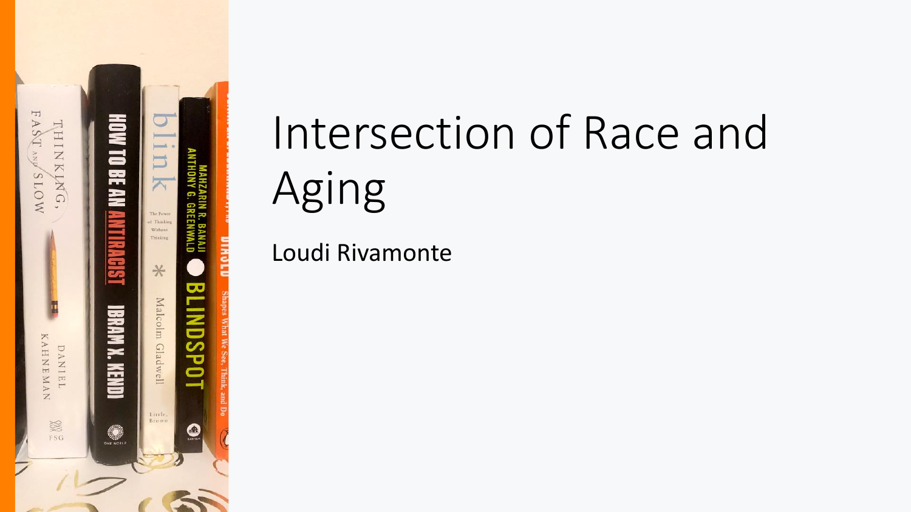

# Intersection of Race and Aging

Loudi Rivamonte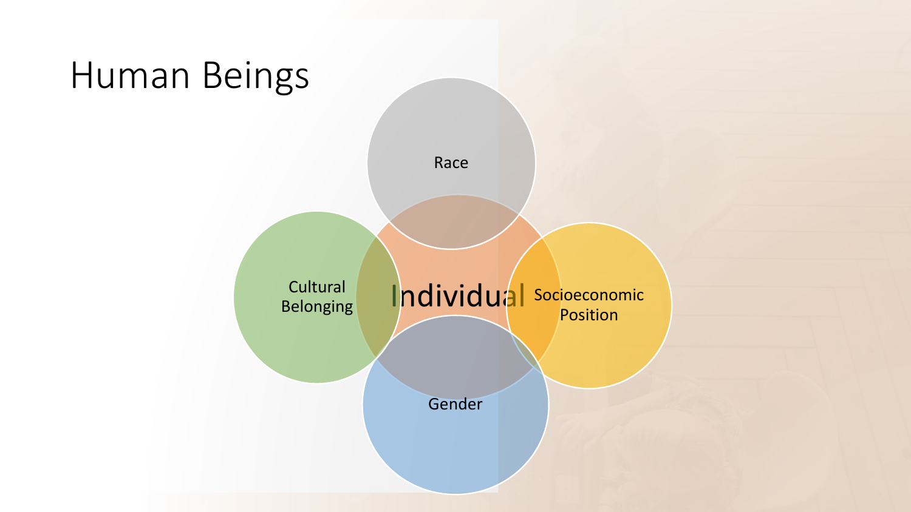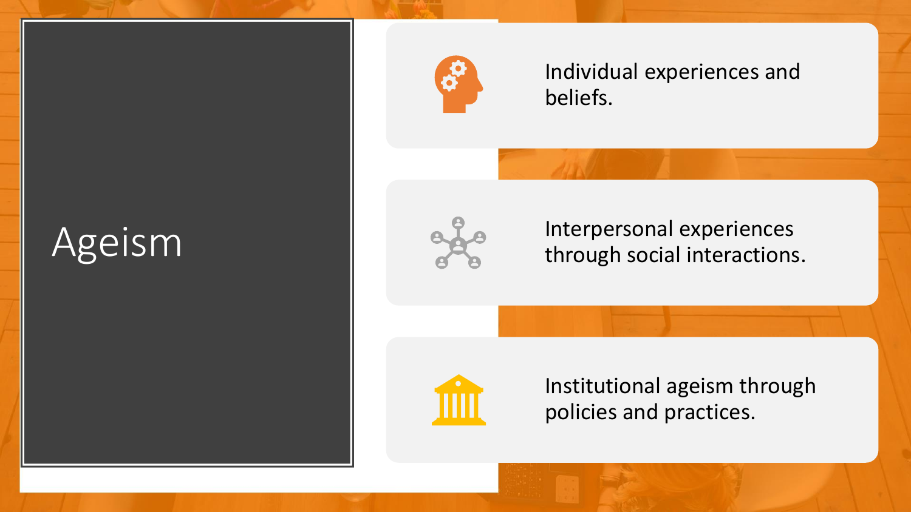# Ageism



Individual experiences and beliefs.



Interpersonal experiences through social interactions.



Institutional ageism through policies and practices.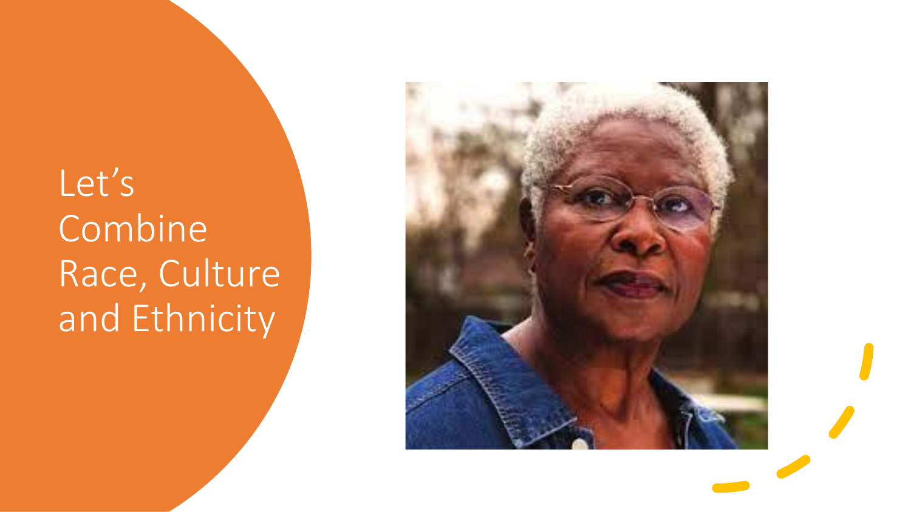# Let's Combine Race, Culture and Ethnicity

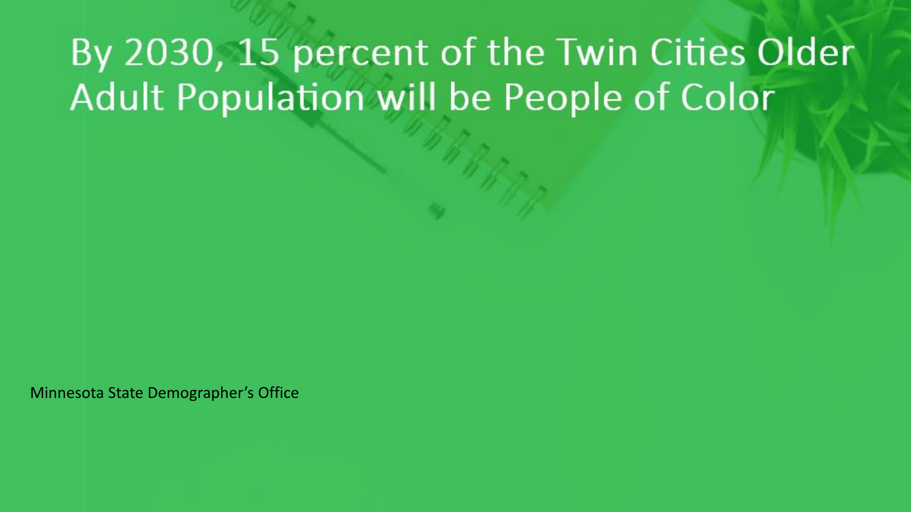## By 2030, 15 percent of the Twin Cities Older Adult Population will be People of Color

Minnesota State Demographer's Office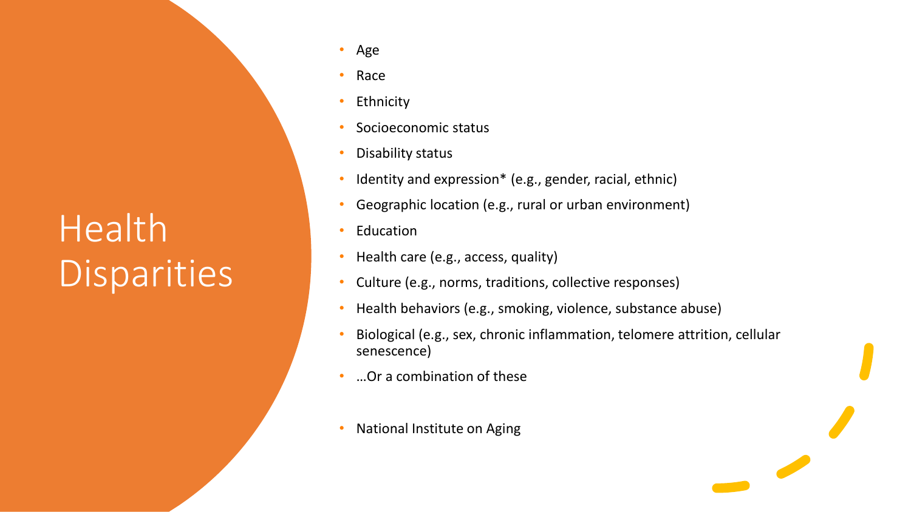# Health Disparities

- Age
- Race
- **Ethnicity**
- Socioeconomic status
- Disability status
- Identity and expression\* (e.g., gender, racial, ethnic)
- Geographic location (e.g., rural or urban environment)
- **Education**
- Health care (e.g., access, quality)
- Culture (e.g., norms, traditions, collective responses)
- Health behaviors (e.g., smoking, violence, substance abuse)
- Biological (e.g., sex, chronic inflammation, telomere attrition, cellular senescence)
- …Or a combination of these
- National Institute on Aging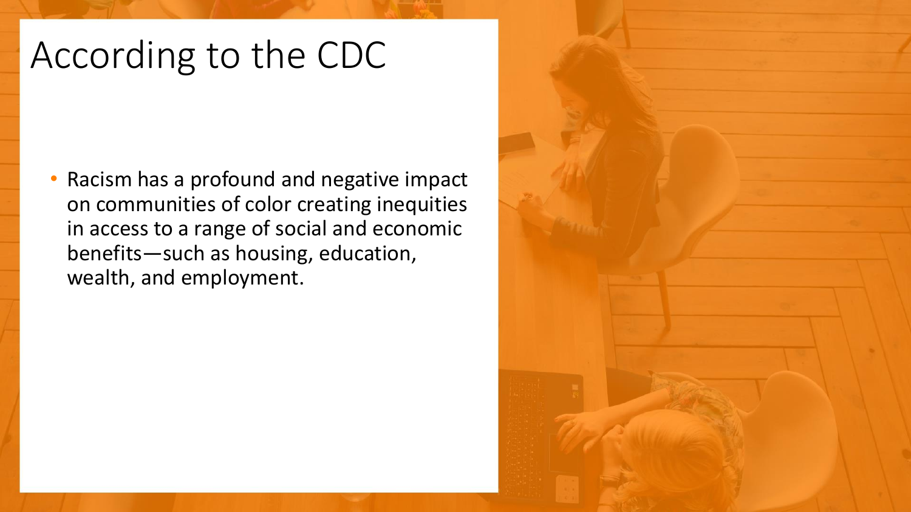### According to the CDC

• Racism has a profound and negative impact on communities of color creating inequities in access to a range of social and economic benefits—such as housing, education, wealth, and employment.

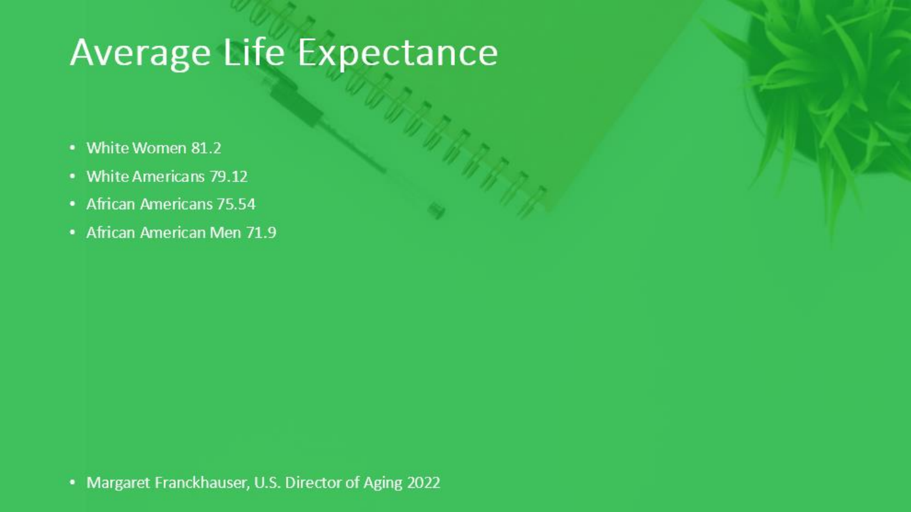#### **Average Life Expectance**

- White Women 81.2
- White Americans 79.12
- African Americans 75.54
- African American Men 71.9

• Margaret Franckhauser, U.S. Director of Aging 2022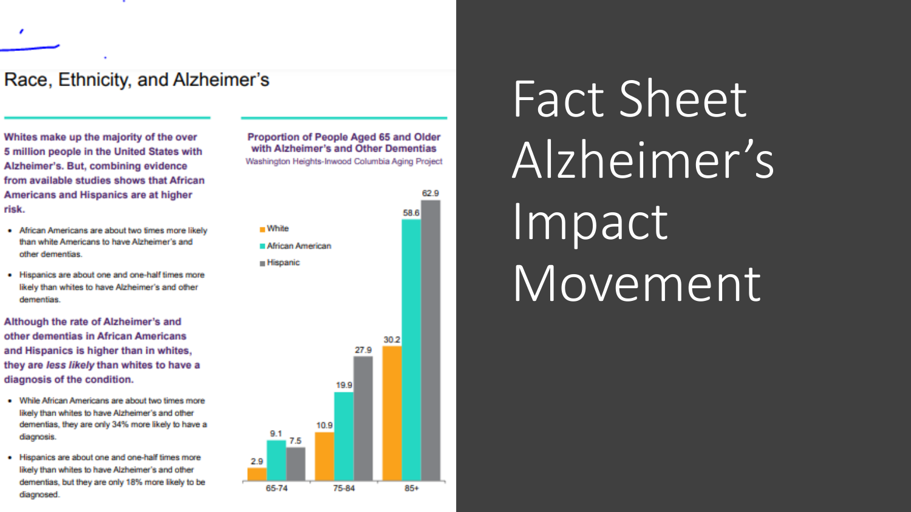#### Race, Ethnicity, and Alzheimer's

Whites make up the majority of the over 5 million people in the United States with Alzheimer's. But, combining evidence from available studies shows that African Americans and Hispanics are at higher risk.

- African Americans are about two times more likely than white Americans to have Alzheimer's and other dementias.
- . Hispanics are about one and one-half times more likely than whites to have Alzheimer's and other dementias.

Although the rate of Alzheimer's and other dementias in African Americans and Hispanics is higher than in whites, they are less likely than whites to have a diagnosis of the condition.

- . While African Americans are about two times more likely than whites to have Alzheimer's and other dementias, they are only 34% more likely to have a diagnosis.
- . Hispanics are about one and one-half times more likely than whites to have Alzheimer's and other dementias, but they are only 18% more likely to be diagnosed.

Proportion of People Aged 65 and Older with Alzheimer's and Other Dementias Washington Heights-Inwood Columbia Aging Project

62.9

58.6

30.2

85+

27.9

19.9

75-84

10.9

2.9

65-74



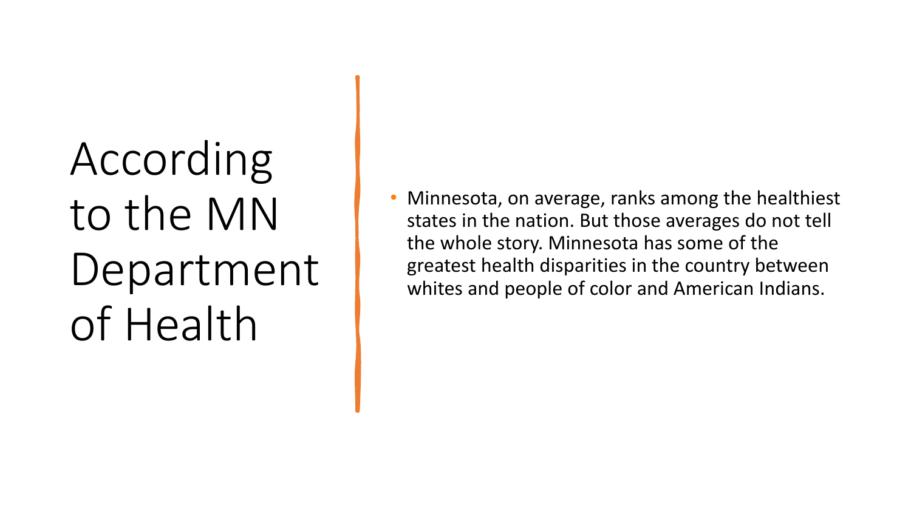# According to the MN Department of Health

• Minnesota, on average, ranks among the healthiest states in the nation. But those averages do not tell the whole story. Minnesota has some of the greatest health disparities in the country between whites and people of color and American Indians.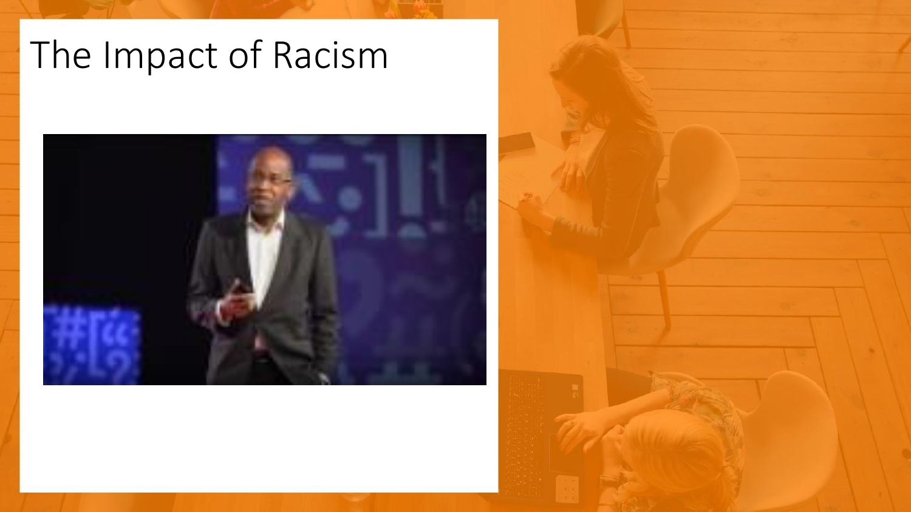## The Impact of Racism